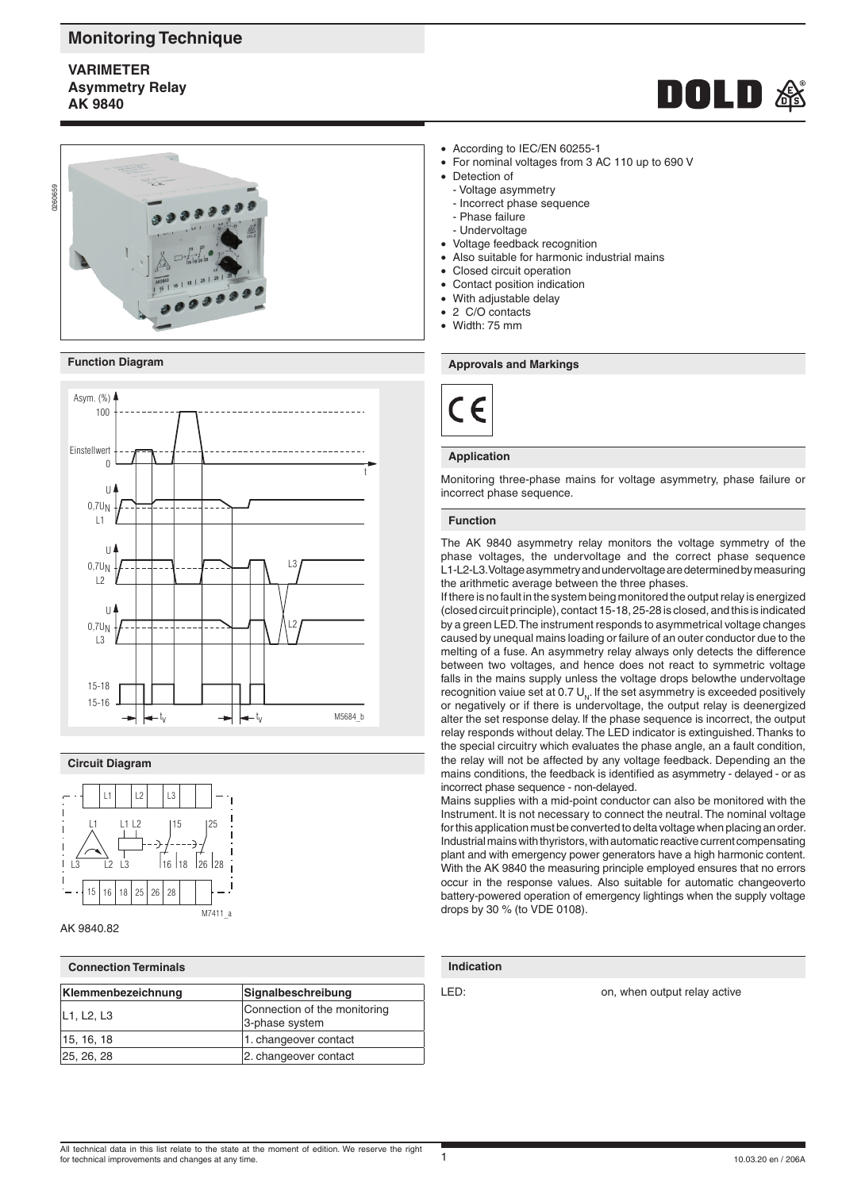# **Monitoring Technique**

## **VARIMETER Asymmetry Relay AK 9840**







### **Circuit Diagram**



#### AK 9840.82

| <b>Connection Terminals</b> |                                                |  |  |  |
|-----------------------------|------------------------------------------------|--|--|--|
| Klemmenbezeichnung          | Signalbeschreibung                             |  |  |  |
| L1, L2, L3                  | Connection of the monitoring<br>3-phase system |  |  |  |
| 15, 16, 18                  | 1. changeover contact                          |  |  |  |
| 25, 26, 28                  | 2. changeover contact                          |  |  |  |

- According to IEC/EN 60255-1
- For nominal voltages from 3 AC 110 up to 690 V
- Detection of
- Voltage asymmetry
- Incorrect phase sequence
- Phase failure
- Undervoltage
- Voltage feedback recognition
- Also suitable for harmonic industrial mains
- Closed circuit operation
- Contact position indication
- With adjustable delay
- 2 C/O contacts
- Width: 75 mm



### **Application**

Monitoring three-phase mains for voltage asymmetry, phase failure or

## **Function**

The AK 9840 asymmetry relay monitors the voltage symmetry of the phase voltages, the undervoltage and the correct phase sequence L1-L2-L3. Voltage asymmetry and undervoltage are determined by measuring the arithmetic average between the three phases.

If there is no fault in the system being monitored the output relay is energized (closed circuit principle), contact 15-18, 25-28 is closed, and this is indicated by a green LED. The instrument responds to asymmetrical voltage changes caused by unequal mains loading or failure of an outer conductor due to the melting of a fuse. An asymmetry relay always only detects the difference between two voltages, and hence does not react to symmetric voltage falls in the mains supply unless the voltage drops belowthe undervoltage recognition vaiue set at 0.7  $U_{N}$ . If the set asymmetry is exceeded positively or negatively or if there is undervoltage, the output relay is deenergized alter the set response delay. lf the phase sequence is incorrect, the output relay responds without delay. The LED indicator is extinguished. Thanks to the special circuitry which evaluates the phase angle, an a fault condition, the relay will not be affected by any voltage feedback. Depending an the mains conditions, the feedback is identified as asymmetry - delayed - or as incorrect phase sequence - non-delayed.

Mains supplies with a mid-point conductor can also be monitored with the Instrument. lt is not necessary to connect the neutral. The nominal voltage for this application must be converted to delta voltage when placing an order. Industrial mains with thyristors, with automatic reactive current compensating plant and with emergency power generators have a high harmonic content. With the AK 9840 the measuring principle employed ensures that no errors occur in the response values. Also suitable for automatic changeoverto battery-powered operation of emergency lightings when the supply voltage drops by 30 % (to VDE 0108).

## **Indication**

LED: con, when output relay active

**Function Diagram Approvals and Markings Approvals and Markings**